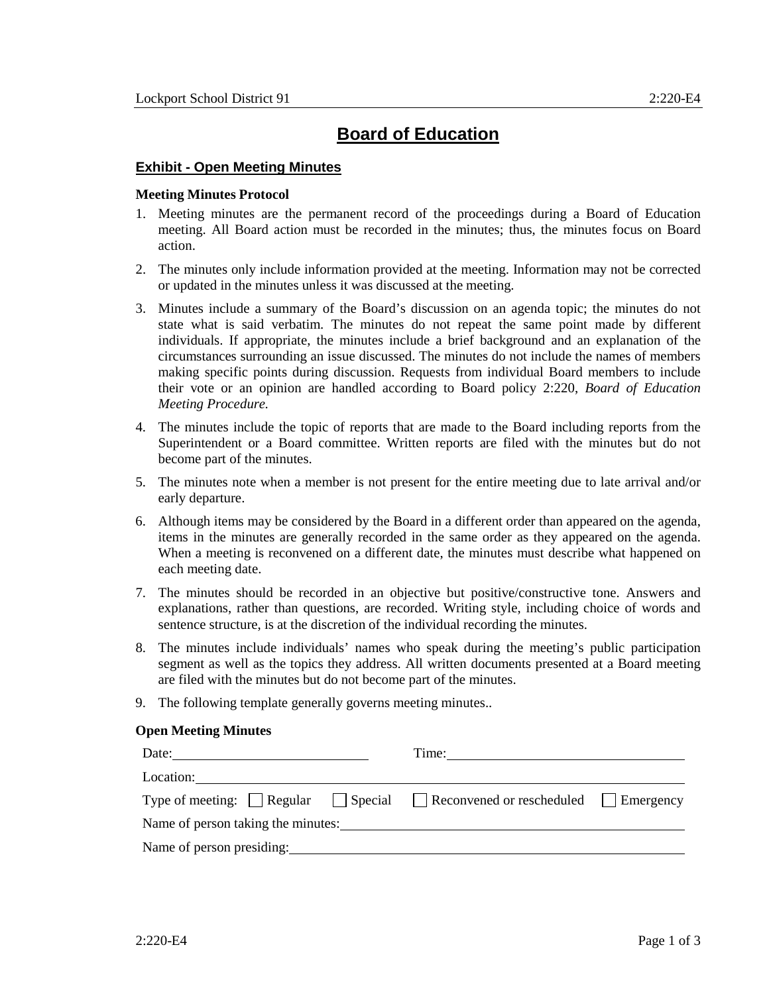# **Board of Education**

### **Exhibit - Open Meeting Minutes**

#### **Meeting Minutes Protocol**

- 1. Meeting minutes are the permanent record of the proceedings during a Board of Education meeting. All Board action must be recorded in the minutes; thus, the minutes focus on Board action.
- 2. The minutes only include information provided at the meeting. Information may not be corrected or updated in the minutes unless it was discussed at the meeting.
- 3. Minutes include a summary of the Board's discussion on an agenda topic; the minutes do not state what is said verbatim. The minutes do not repeat the same point made by different individuals. If appropriate, the minutes include a brief background and an explanation of the circumstances surrounding an issue discussed. The minutes do not include the names of members making specific points during discussion. Requests from individual Board members to include their vote or an opinion are handled according to Board policy 2:220, *Board of Education Meeting Procedure.*
- 4. The minutes include the topic of reports that are made to the Board including reports from the Superintendent or a Board committee. Written reports are filed with the minutes but do not become part of the minutes.
- 5. The minutes note when a member is not present for the entire meeting due to late arrival and/or early departure.
- 6. Although items may be considered by the Board in a different order than appeared on the agenda, items in the minutes are generally recorded in the same order as they appeared on the agenda. When a meeting is reconvened on a different date, the minutes must describe what happened on each meeting date.
- 7. The minutes should be recorded in an objective but positive/constructive tone. Answers and explanations, rather than questions, are recorded. Writing style, including choice of words and sentence structure, is at the discretion of the individual recording the minutes.
- 8. The minutes include individuals' names who speak during the meeting's public participation segment as well as the topics they address. All written documents presented at a Board meeting are filed with the minutes but do not become part of the minutes.
- 9. The following template generally governs meeting minutes..

#### **Open Meeting Minutes**

| Location:                          |  |                                                                                                  |  |  |
|------------------------------------|--|--------------------------------------------------------------------------------------------------|--|--|
|                                    |  | Type of meeting: $\Box$ Regular $\Box$ Special $\Box$ Reconvened or rescheduled $\Box$ Emergency |  |  |
| Name of person taking the minutes: |  |                                                                                                  |  |  |
| Name of person presiding:          |  |                                                                                                  |  |  |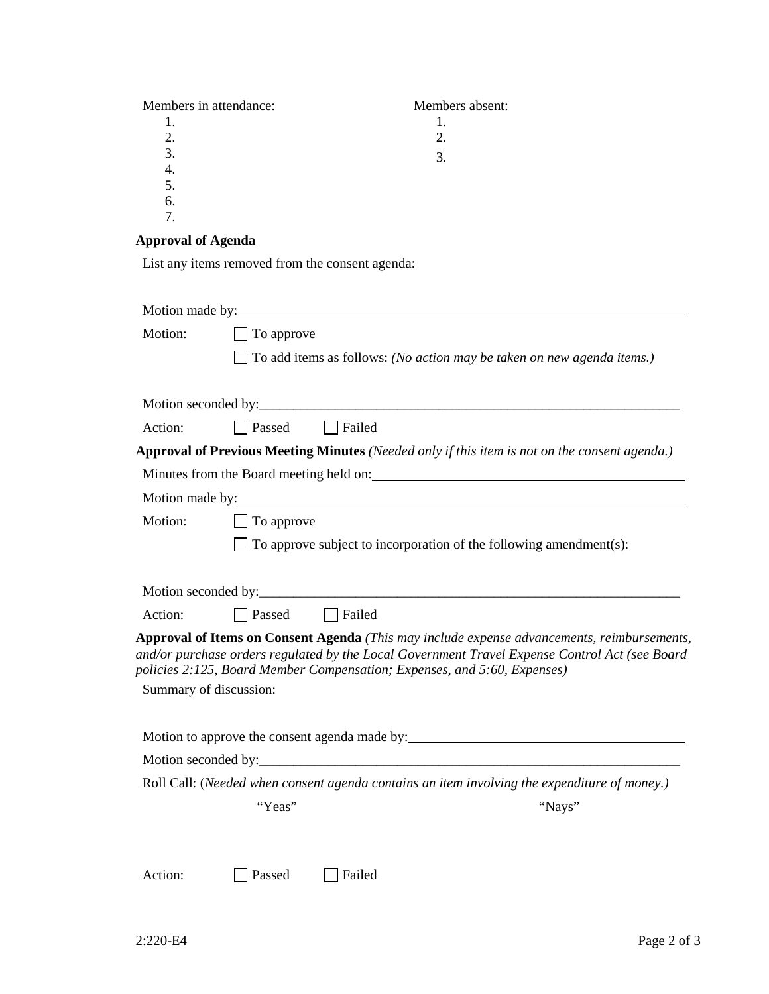| Members in attendance: | Members absent: |
|------------------------|-----------------|
|                        |                 |
| 2.                     |                 |
| 3.                     | 3.              |
|                        |                 |
| 5.                     |                 |
| 6.                     |                 |
|                        |                 |
|                        |                 |

## **Approval of Agenda**

List any items removed from the consent agenda:

|                        | Motion made by:                                                                                                                                                                                                                                                                  |
|------------------------|----------------------------------------------------------------------------------------------------------------------------------------------------------------------------------------------------------------------------------------------------------------------------------|
| Motion:                | To approve                                                                                                                                                                                                                                                                       |
|                        | To add items as follows: (No action may be taken on new agenda items.)                                                                                                                                                                                                           |
|                        |                                                                                                                                                                                                                                                                                  |
|                        |                                                                                                                                                                                                                                                                                  |
| Action:                | $\Box$ Failed<br>Passed                                                                                                                                                                                                                                                          |
|                        | Approval of Previous Meeting Minutes (Needed only if this item is not on the consent agenda.)                                                                                                                                                                                    |
|                        | Minutes from the Board meeting held on:                                                                                                                                                                                                                                          |
|                        | Motion made by:                                                                                                                                                                                                                                                                  |
| Motion:                | $\Box$ To approve                                                                                                                                                                                                                                                                |
|                        | To approve subject to incorporation of the following amendment(s):                                                                                                                                                                                                               |
|                        |                                                                                                                                                                                                                                                                                  |
|                        |                                                                                                                                                                                                                                                                                  |
| Action:                | <b>Passed</b><br>$\Box$ Failed                                                                                                                                                                                                                                                   |
|                        | <b>Approval of Items on Consent Agenda</b> (This may include expense advancements, reimbursements,<br>and/or purchase orders regulated by the Local Government Travel Expense Control Act (see Board<br>policies 2:125, Board Member Compensation; Expenses, and 5:60, Expenses) |
| Summary of discussion: |                                                                                                                                                                                                                                                                                  |
|                        |                                                                                                                                                                                                                                                                                  |
|                        |                                                                                                                                                                                                                                                                                  |
|                        |                                                                                                                                                                                                                                                                                  |
|                        | Roll Call: (Needed when consent agenda contains an item involving the expenditure of money.)                                                                                                                                                                                     |
|                        | "Yeas"<br>"Nays"                                                                                                                                                                                                                                                                 |
|                        |                                                                                                                                                                                                                                                                                  |
|                        |                                                                                                                                                                                                                                                                                  |
| Action:                | Passed<br>Failed                                                                                                                                                                                                                                                                 |
|                        |                                                                                                                                                                                                                                                                                  |